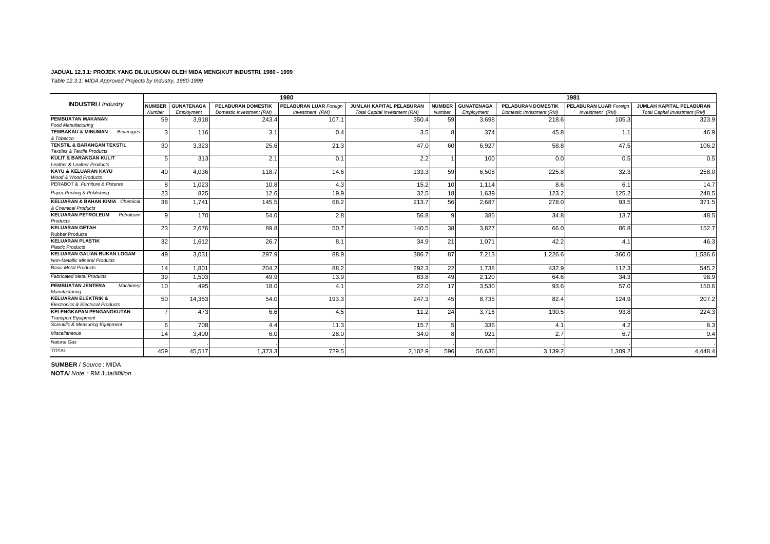#### **JADUAL 12.3.1: PROJEK YANG DILULUSKAN OLEH MIDA MENGIKUT INDUSTRI, 1980 - 1999**

*Table 12.3.1: MIDA Approved Projects by Industry, 1980-1999*

|                                                                                 |                 |                   |                           | 1980                          |                               |               |                   |                           | 1981                          |                               |
|---------------------------------------------------------------------------------|-----------------|-------------------|---------------------------|-------------------------------|-------------------------------|---------------|-------------------|---------------------------|-------------------------------|-------------------------------|
| <b>INDUSTRI</b> / Industry                                                      | <b>NUMBER</b>   | <b>GUNATENAGA</b> | <b>PELABURAN DOMESTIK</b> | <b>PELABURAN LUAR Foreign</b> | JUMLAH KAPITAL PELABURAN      | <b>NUMBER</b> | <b>GUNATENAGA</b> | <b>PELABURAN DOMESTIK</b> | <b>PELABURAN LUAR Foreign</b> | JUMLAH KAPITAL PELABURAN      |
|                                                                                 | Number          | Employment        | Domestic Investment (RM)  | Investment (RM)               | Total Capital Investment (RM) | Number        | Employment        | Domestic Investment (RM)  | Investment (RM)               | Total Capital Investment (RM) |
| PEMBUATAN MAKANAN                                                               | 59              | 3.918             | 243.4                     | 107.1                         | 350.4                         | 59            | 3.698             | 218.6                     | 105.3                         | 323.9                         |
| <b>Food Manufacturing</b>                                                       |                 |                   |                           |                               |                               |               |                   |                           |                               |                               |
| <b>TEMBAKAU &amp; MINUMAN</b><br>Beverages<br>& Tobacco                         | 3               | 116               | 3.1                       | 0.4                           | 3.5                           | 8             | 374               | 45.8                      | 1.1                           | 46.9                          |
| <b>TEKSTIL &amp; BARANGAN TEKSTIL</b><br><b>Textiles &amp; Textile Products</b> | 30              | 3,323             | 25.6                      | 21.3                          | 47.0                          | 60            | 6,927             | 58.8                      | 47.5                          | 106.2                         |
| <b>KULIT &amp; BARANGAN KULIT</b><br>Leather & Leather Products                 | 5               | 313               | 2.1                       | 0.1                           | 2.2                           |               | 100               | 0.0                       | 0.5                           | 0.5                           |
| KAYU & KELUARAN KAYU<br>Wood & Wood Products                                    | 40              | 4.036             | 118.7                     | 14.6                          | 133.3                         | 59            | 6.505             | 225.8                     | 32.3                          | 258.0                         |
| PERABOT & Furniture & Fixtures                                                  | я               | 1.023             | 10.8                      | 4.3                           | 15.2                          | 10            | 1.114             | 8.6                       | 6.1                           | 14.7                          |
| Paper, Printing & Publishing                                                    | 23              | 825               | 12.6                      | 19.9                          | 32.5                          | 18            | 1.639             | 123.2                     | 125.2                         | 248.5                         |
| <b>KELUARAN &amp; BAHAN KIMIA Chemical</b><br>& Chemical Products               | 38              | 1.741             | 145.5                     | 68.2                          | 213.7                         | 56            | 2,687             | 278.0                     | 93.5                          | 371.5                         |
| <b>KELUARAN PETROLEUM</b><br>Petroleum<br>Products                              | $\mathbf{Q}$    | 170               | 54.0                      | 2.8                           | 56.8                          | $\mathbf{q}$  | 385               | 34.8                      | 13.7                          | 48.5                          |
| <b>KELUARAN GETAH</b><br><b>Rubber Products</b>                                 | 23              | 2.676             | 89.8                      | 50.7                          | 140.5                         | 38            | 3.827             | 66.0                      | 86.8                          | 152.7                         |
| <b>KELUARAN PLASTIK</b><br><b>Plastic Products</b>                              | 32              | 1.612             | 26.7                      | 8.1                           | 34.9                          | 21            | 1.071             | 42.2                      | 4.1                           | 46.3                          |
| <b>KELUARAN GALIAN BUKAN LOGAM</b><br><b>Non-Metallic Mineral Products</b>      | 49              | 3,031             | 297.9                     | 88.9                          | 386.7                         | 87            | 7.213             | 1,226.6                   | 360.0                         | 1,586.6                       |
| <b>Basic Metal Products</b>                                                     | 14              | 1.801             | 204.2                     | 88.2                          | 292.3                         | 22            | 1.738             | 432.9                     | 112.3                         | 545.2                         |
| <b>Fabricated Metal Products</b>                                                | 39              | 1,503             | 49.9                      | 13.9                          | 63.8                          | 49            | 2,120             | 64.6                      | 34.3                          | 98.9                          |
| PEMBUATAN JENTERA<br>Machinerv<br>Manufacturing                                 | 10 <sup>1</sup> | 495               | 18.0                      | 4.1                           | 22.0                          | 17            | 3,530             | 93.6                      | 57.0                          | 150.6                         |
| <b>KELUARAN ELEKTRIK &amp;</b><br><b>Electronics &amp; Electrical Products</b>  | 50              | 14.353            | 54.0                      | 193.3                         | 247.3                         | 45            | 8.735             | 82.4                      | 124.9                         | 207.2                         |
| <b>KELENGKAPAN PENGANGKUTAN</b><br><b>Transport Equipment</b>                   |                 | 473               | 6.6                       | 4.5                           | 11.2                          | 24            | 3.716             | 130.5                     | 93.8                          | 224.3                         |
| Scientific & Measuring Equipment                                                |                 | 708               | 4.4                       | 11.3                          | 15.7                          |               | 336               | 4.1                       | 4.2                           | 8.3                           |
| Miscellaneous                                                                   | 14              | 3.400             | 6.0                       | 28.0                          | 34.0                          | R             | 921               | 2.7                       | 6.7                           | 9.4                           |
| <b>Natural Gas</b>                                                              |                 |                   |                           |                               |                               |               |                   |                           |                               |                               |
| <b>TOTAL</b>                                                                    | 459             | 45.517            | 1.373.3                   | 729.5                         | 2,102.9                       | 596           | 56.636            | 3,139.2                   | 1.309.2                       | 4.448.4                       |

**SUMBER** / *Source* : MIDA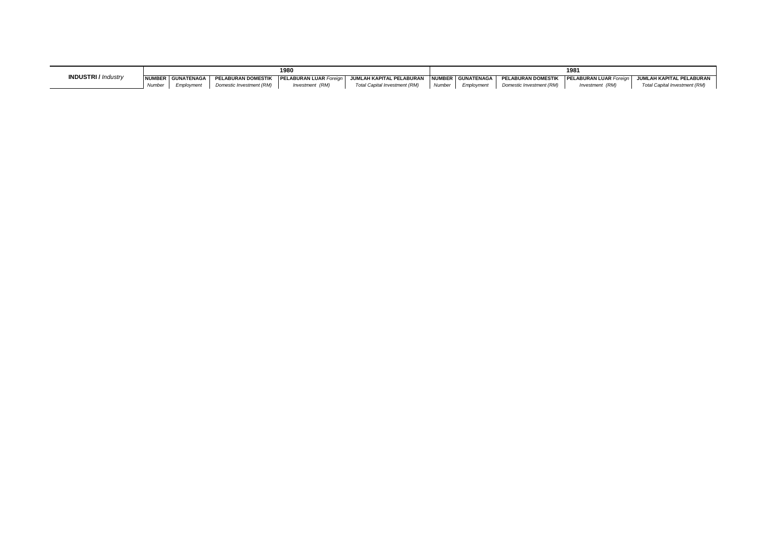|                           |        |                   |                           | 1980                         |                               | 198      |            |                           |                 |                                                          |  |
|---------------------------|--------|-------------------|---------------------------|------------------------------|-------------------------------|----------|------------|---------------------------|-----------------|----------------------------------------------------------|--|
| <b>INDUSTRI/</b> Industry |        | NUMBER GUNATENAGA | <b>PELABURAN DOMESTIK</b> | <b>I NUMBER GUNATENAGA I</b> |                               |          |            | <b>PELABURAN DOMESTIK</b> |                 | <b>PELABURAN LUAR Foreign   JUMLAH KAPITAL PELABURAN</b> |  |
|                           | Number | Employment        | Domestic Investment (RM)  | Investment (RM)              | Total Capital Investment (RM) | Number 1 | Emplovment | Domestic Investment (RM)  | Investment (RM) | Total Capital Investment (RM)                            |  |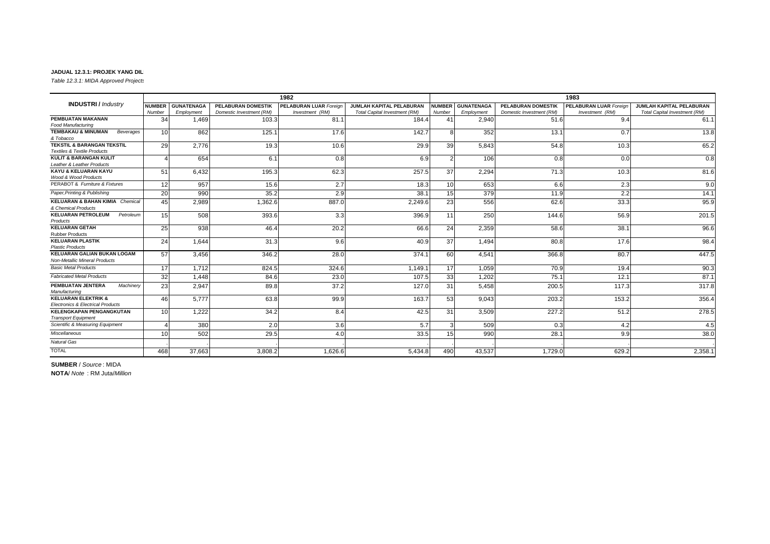*Table 12.3.1: MIDA Approved Projects by Industry, 1980-1999*

|                                                                                |               |                   |                           | 1982                          |                               |               |                   |                           | 1983                          |                               |
|--------------------------------------------------------------------------------|---------------|-------------------|---------------------------|-------------------------------|-------------------------------|---------------|-------------------|---------------------------|-------------------------------|-------------------------------|
| <b>INDUSTRI</b> / Industry                                                     | <b>NUMBER</b> | <b>GUNATENAGA</b> | <b>PELABURAN DOMESTIK</b> | <b>PELABURAN LUAR Foreign</b> | JUMLAH KAPITAL PELABURAN      | <b>NUMBER</b> | <b>GUNATENAGA</b> | <b>PELABURAN DOMESTIK</b> | <b>PELABURAN LUAR Foreign</b> | JUMLAH KAPITAL PELABURAN      |
|                                                                                | Number        | Employment        | Domestic Investment (RM)  | Investment (RM)               | Total Capital Investment (RM) | Number        | Employment        | Domestic Investment (RM)  | Investment (RM)               | Total Capital Investment (RM) |
| PEMBUATAN MAKANAN                                                              | 34            | .469              | 103.3                     | 81.1                          | 184.4                         | 41            | 2,940             | 51.6                      | 9.4                           | 61.1                          |
| Food Manufacturing                                                             |               |                   |                           |                               |                               |               |                   |                           |                               |                               |
| <b>TEMBAKAU &amp; MINUMAN</b><br>Beverages<br>& Tobacco                        | 10            | 862               | 125.1                     | 17.6                          | 142.7                         | <sub>8</sub>  | 352               | 13.1                      | 0.7                           | 13.8                          |
| <b>TEKSTIL &amp; BARANGAN TEKSTIL</b>                                          | 29            | 2.776             | 19.3                      | 10.6                          | 29.9                          | 39            | 5.843             | 54.8                      | 10.3                          | 65.2                          |
| <b>Textiles &amp; Textile Products</b>                                         |               |                   |                           |                               |                               |               |                   |                           |                               |                               |
| <b>KULIT &amp; BARANGAN KULIT</b><br>Leather & Leather Products                |               | 654               | 6.1                       | 0.8                           | 6.9                           |               | 106               | 0.8                       | 0.0                           | 0.8                           |
| KAYU & KELUARAN KAYU                                                           | 51            | 6.432             | 195.3                     | 62.3                          | 257.5                         | 37            | 2,294             | 71.3                      | 10.3                          | 81.6                          |
| Wood & Wood Products                                                           |               |                   |                           |                               |                               |               |                   |                           |                               |                               |
| PERABOT & Furniture & Fixtures                                                 | 12            | 957               | 15.6                      | 2.7                           | 18.3                          | 10            | 653               | 6.6                       | 2.3                           | 9.0                           |
| Paper, Printing & Publishing                                                   | 20            | 990               | 35.2                      | 2.9                           | 38.1                          | 15            | 379               | 11.9                      | 2.2                           | 14.1                          |
| <b>KELUARAN &amp; BAHAN KIMIA</b> Chemical<br>& Chemical Products              | 45            | 2,989             | 1,362.6                   | 887.0                         | 2,249.6                       | 23            | 556               | 62.6                      | 33.3                          | 95.9                          |
| <b>KELUARAN PETROLEUM</b><br>Petroleum<br>Products                             | 15            | 508               | 393.6                     | 3.3                           | 396.9                         | 11            | 250               | 144.6                     | 56.9                          | 201.5                         |
| <b>KELUARAN GETAH</b><br><b>Rubber Products</b>                                | 25            | 938               | 46.4                      | 20.2                          | 66.6                          | 24            | 2,359             | 58.6                      | 38.1                          | 96.6                          |
| <b>KELUARAN PLASTIK</b><br><b>Plastic Products</b>                             | 24            | 1.644             | 31.3                      | 9.6                           | 40.9                          | 37            | 1.494             | 80.8                      | 17.6                          | 98.4                          |
| <b>KELUARAN GALIAN BUKAN LOGAM</b><br><b>Non-Metallic Mineral Products</b>     | 57            | 3,456             | 346.2                     | 28.0                          | 374.1                         | 60            | 4,541             | 366.8                     | 80.7                          | 447.5                         |
| <b>Basic Metal Products</b>                                                    | 17            | 1.712             | 824.5                     | 324.6                         | 1.149.1                       | 17            | 1.059             | 70.9                      | 19.4                          | 90.3                          |
| <b>Fabricated Metal Products</b>                                               | 32            | 1.448             | 84.6                      | 23.0                          | 107.5                         | 33            | 1,202             | 75.1                      | 12.1                          | 87.1                          |
| PEMBUATAN JENTERA<br>Machinery<br>Manufacturing                                | 23            | 2.947             | 89.8                      | 37.2                          | 127.0                         | 31            | 5.458             | 200.5                     | 117.3                         | 317.8                         |
| <b>KELUARAN ELEKTRIK &amp;</b><br><b>Electronics &amp; Electrical Products</b> | 46            | 5.777             | 63.8                      | 99.9                          | 163.7                         | 53            | 9,043             | 203.2                     | 153.2                         | 356.4                         |
| <b>KELENGKAPAN PENGANGKUTAN</b><br><b>Transport Equipment</b>                  | 10            | 1,222             | 34.2                      | 8.4                           | 42.5                          | 31            | 3,509             | 227.2                     | 51.2                          | 278.5                         |
| Scientific & Measuring Equipment                                               |               | 380               | 2.0                       | 3.6                           | 5.7                           |               | 509               | 0.3                       | 4.2                           | 4.5                           |
| Miscellaneous                                                                  | 10            | 502               | 29.5                      | 4.0                           | 33.5                          | 15            | 990               | 28.7                      | 9.9                           | 38.0                          |
| <b>Natural Gas</b>                                                             |               |                   |                           |                               |                               |               |                   |                           |                               |                               |
| <b>TOTAL</b>                                                                   | 468           | 37,663            | 3,808.2                   | 1,626.6                       | 5,434.8                       | 490           | 43,537            | 1,729.0                   | 629.2                         | 2,358.1                       |

**SUMBER** / *Source* : MIDA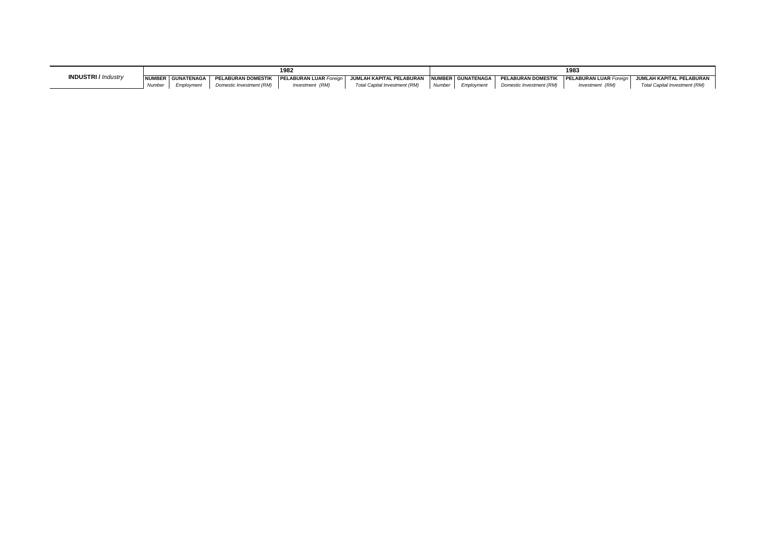|                            |        |                   |                           | 1982                                                      |                               |        |                   |                           | 1983                          |                                     |
|----------------------------|--------|-------------------|---------------------------|-----------------------------------------------------------|-------------------------------|--------|-------------------|---------------------------|-------------------------------|-------------------------------------|
| <b>INDUSTRI</b> / Industry |        | NUMBER GUNATENAGA | <b>PELABURAN DOMESTIK</b> | JUMLAH KAPITAL PELABURAN<br><b>PELABURAN LUAR Foreian</b> |                               |        | NUMBER GUNATENAGA | <b>PELABURAN DOMESTIK</b> | <b>PELABURAN LUAR Foreian</b> | JUMLAH KAPITAL PELABURAN            |
|                            | Number | <i>Employment</i> | Domestic Investment (RM)  | Investment (RM)                                           | Total Capital Investment (RM) | Number | Employment        | Domestic Investment (RM)  | Investment (RM)               | <b>Total Capital Investment (RM</b> |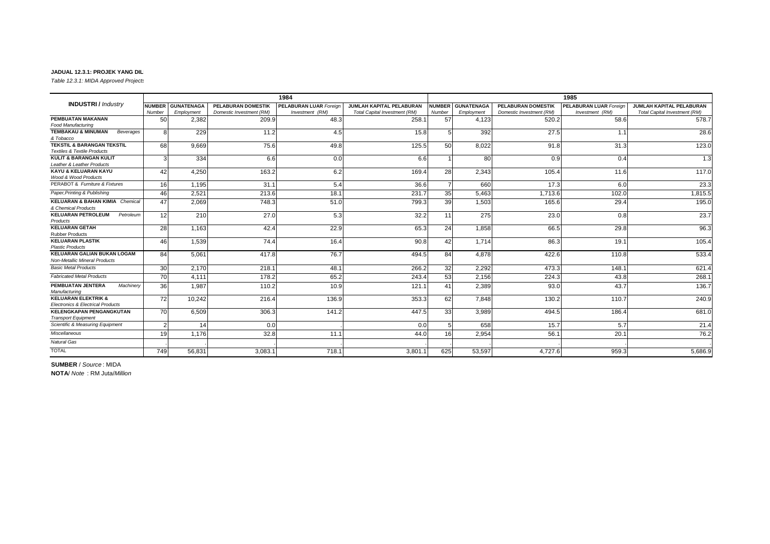*Table 12.3.1: MIDA Approved Projects* 

|                                                                                 |               |                   |                           | 1984                          |                                 |                 |                   |                           | 1985                          |                                 |
|---------------------------------------------------------------------------------|---------------|-------------------|---------------------------|-------------------------------|---------------------------------|-----------------|-------------------|---------------------------|-------------------------------|---------------------------------|
| <b>INDUSTRI/</b> Industry                                                       | <b>NUMBER</b> | <b>GUNATENAGA</b> | <b>PELABURAN DOMESTIK</b> | <b>PELABURAN LUAR Foreian</b> | <b>JUMLAH KAPITAL PELABURAN</b> | <b>NUMBER</b>   | <b>GUNATENAGA</b> | <b>PELABURAN DOMESTIK</b> | <b>PELABURAN LUAR Foreian</b> | <b>JUMLAH KAPITAL PELABURAN</b> |
|                                                                                 | Number        | Employment        | Domestic Investment (RM)  | Investment (RM)               | Total Capital Investment (RM)   | Number          | Employment        | Domestic Investment (RM)  | Investment (RM)               | Total Capital Investment (RM)   |
| PEMBUATAN MAKANAN                                                               | 50            | 2,382             | 209.9                     | 48.3                          | 258.1                           | 57              | 4,123             | 520.2                     | 58.6                          | 578.7                           |
| <b>Food Manufacturing</b>                                                       |               |                   |                           |                               |                                 |                 |                   |                           |                               |                                 |
| <b>TEMBAKAU &amp; MINUMAN</b><br>Beverages<br>& Tobacco                         | 8             | 229               | 11.2                      | 4.5                           | 15.8                            |                 | 392               | 27.5                      | 1.1                           | 28.6                            |
| <b>TEKSTIL &amp; BARANGAN TEKSTIL</b><br><b>Textiles &amp; Textile Products</b> | 68            | 9,669             | 75.6                      | 49.8                          | 125.5                           | 50 <sup>1</sup> | 8,022             | 91.8                      | 31.3                          | 123.0                           |
| <b>KULIT &amp; BARANGAN KULIT</b><br>Leather & Leather Products                 | 3             | 334               | 6.6                       | 0.0                           | 6.6                             |                 | 80                | 0.9                       | 0.4                           | 1.3                             |
| KAYU & KELUARAN KAYU<br>Wood & Wood Products                                    | 42            | 4.250             | 163.2                     | 6.2                           | 169.4                           | 28              | 2.343             | 105.4                     | 11.6                          | 117.0                           |
| PERABOT & Furniture & Fixtures                                                  | 16            | 1.195             | 31.1                      | 5.4                           | 36.6                            |                 | 660               | 17.3                      | 6.0                           | 23.3                            |
| Paper, Printing & Publishing                                                    | 46            | 2.521             | 213.6                     | 18.1                          | 231.7                           | 35              | 5.463             | 1,713.6                   | 102.0                         | 1,815.5                         |
| <b>KELUARAN &amp; BAHAN KIMIA Chemical</b><br>& Chemical Products               | 47            | 2,069             | 748.3                     | 51.0                          | 799.3                           | 39              | 1,503             | 165.6                     | 29.4                          | 195.0                           |
| <b>KELUARAN PETROLEUM</b><br>Petroleum<br>Products                              | 12            | 210               | 27.0                      | 5.3                           | 32.2                            | 11              | 275               | 23.0                      | 0.8                           | 23.7                            |
| <b>KELUARAN GETAH</b><br><b>Rubber Products</b>                                 | 28            | 1.163             | 42.4                      | 22.9                          | 65.3                            | 24              | 1.858             | 66.5                      | 29.8                          | 96.3                            |
| <b>KELUARAN PLASTIK</b><br><b>Plastic Products</b>                              | 46            | 1.539             | 74.4                      | 16.4                          | 90.8                            | 42              | 1.714             | 86.3                      | 19.1                          | 105.4                           |
| <b>KELUARAN GALIAN BUKAN LOGAM</b><br><b>Non-Metallic Mineral Products</b>      | 84            | 5,061             | 417.8                     | 76.7                          | 494.5                           | 84              | 4,878             | 422.6                     | 110.8                         | 533.4                           |
| <b>Basic Metal Products</b>                                                     | 30            | 2.170             | 218.1                     | 48.1                          | 266.2                           | 32              | 2.292             | 473.3                     | 148.1                         | 621.4                           |
| <b>Fabricated Metal Products</b>                                                | 70            | 4.111             | 178.2                     | 65.2                          | 243.4                           | 53              | 2,156             | 224.3                     | 43.8                          | 268.1                           |
| PEMBUATAN JENTERA<br>Machinery<br>Manufacturing                                 | 36            | 1.987             | 110.2                     | 10.9                          | 121.1                           | 41              | 2,389             | 93.0                      | 43.7                          | 136.7                           |
| <b>KELUARAN ELEKTRIK &amp;</b><br><b>Electronics &amp; Electrical Products</b>  | <b>72</b>     | 10.242            | 216.4                     | 136.9                         | 353.3                           | 62              | 7.848             | 130.2                     | 110.7                         | 240.9                           |
| <b>KELENGKAPAN PENGANGKUTAN</b><br><b>Transport Equipment</b>                   | 70            | 6,509             | 306.3                     | 141.2                         | 447.5                           | 33              | 3.989             | 494.5                     | 186.4                         | 681.0                           |
| Scientific & Measuring Equipment                                                |               | 14                | 0.0                       |                               | 0.0                             |                 | 658               | 15.7                      | 5.7                           | 21.4                            |
| Miscellaneous                                                                   | 19            | 1.176             | 32.8                      | 11.1                          | 44.0                            | 16              | 2.954             | 56.7                      | 20.1                          | 76.2                            |
| <b>Natural Gas</b>                                                              |               |                   |                           |                               |                                 |                 |                   |                           |                               |                                 |
| <b>TOTAL</b>                                                                    | 749           | 56,831            | 3,083.1                   | 718.1                         | 3,801.1                         | 625             | 53,597            | 4.727.6                   | 959.3                         | 5,686.9                         |

**SUMBER** / *Source* : MIDA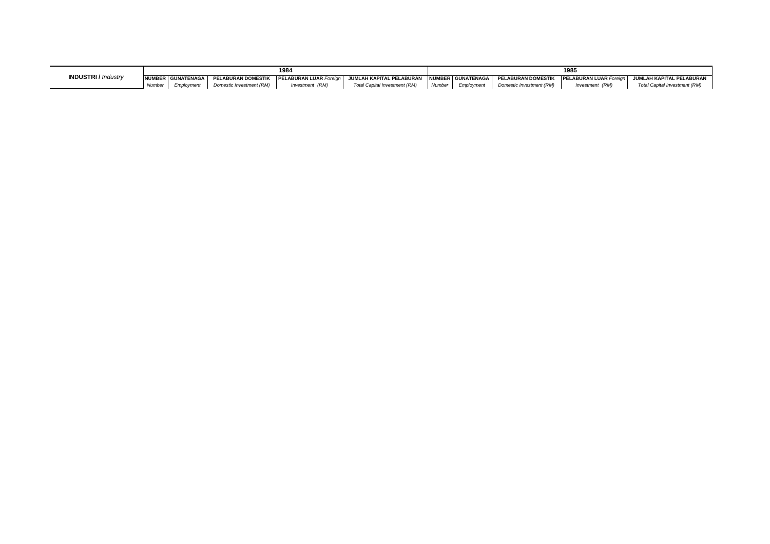|                            |                    |                     |                           | 1984                          |                                               | 1985   |            |                           |                               |                               |  |
|----------------------------|--------------------|---------------------|---------------------------|-------------------------------|-----------------------------------------------|--------|------------|---------------------------|-------------------------------|-------------------------------|--|
| <b>INDUSTRI</b> / Industry |                    | NUMBER GUNATENAGA L | <b>PELABURAN DOMESTIK</b> | <b>PELABURAN LUAR Foreign</b> | JUMLAH KAPITAL PELABURAN HNUMBER GUNATENAGA I |        |            | <b>PELABURAN DOMESTIK</b> | <b>PELABURAN LUAR Foreign</b> | JUMLAH KAPITAL PELABURAN      |  |
|                            | Numbe <sub>r</sub> | Employment          | Domestic Investment (RM)  | Investment (RM)               | Total Capital Investment (RM)                 | Number | Employment | Domestic Investment (RM)  | Investment (RM)               | Total Capital Investment (RM) |  |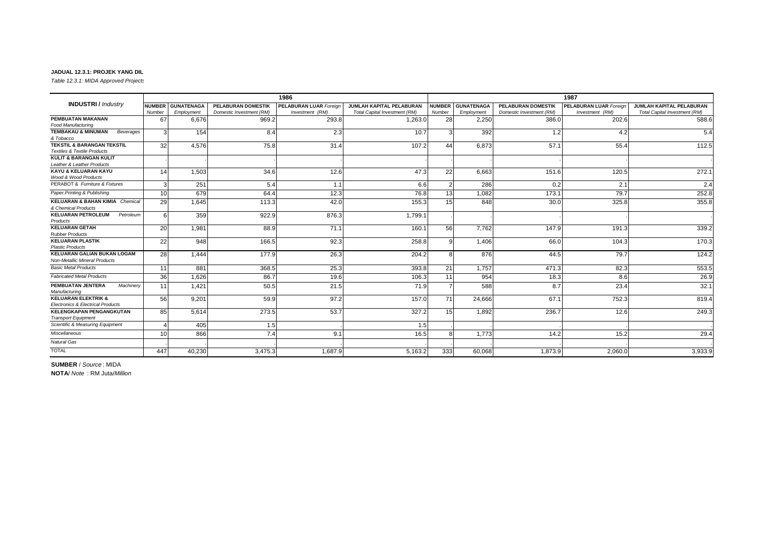*Table 12.3.1: MIDA Approved Projects* 

|                                                                                 |                 |                   |                           | 1986                          |                                 |               |                   |                           | 1987                          |                                 |
|---------------------------------------------------------------------------------|-----------------|-------------------|---------------------------|-------------------------------|---------------------------------|---------------|-------------------|---------------------------|-------------------------------|---------------------------------|
| <b>INDUSTRI</b> / Industry                                                      |                 | NUMBER GUNATENAGA | <b>PELABURAN DOMESTIK</b> | <b>PELABURAN LUAR Foreign</b> | <b>JUMLAH KAPITAL PELABURAN</b> | <b>NUMBER</b> | <b>GUNATENAGA</b> | <b>PELABURAN DOMESTIK</b> | <b>PELABURAN LUAR Foreign</b> | <b>JUMLAH KAPITAL PELABURAN</b> |
|                                                                                 | Number          | Employment        | Domestic Investment (RM)  | Investment (RM)               | Total Capital Investment (RM)   | Number        | Employment        | Domestic Investment (RM)  | Investment (RM)               | Total Capital Investment (RM)   |
| PEMBUATAN MAKANAN                                                               | 67              | 6.676             | 969.2                     | 293.8                         | 1,263.0                         | 28            | 2,250             | 386.0                     | 202.6                         | 588.6                           |
| Food Manufacturing                                                              |                 |                   |                           |                               |                                 |               |                   |                           |                               |                                 |
| <b>TEMBAKAU &amp; MINUMAN</b><br>Beverages                                      | 3               | 154               | 8.4                       | 2.3                           | 10.7                            | 3             | 392               | 1.2                       | 4.2                           | 5.4                             |
| & Tobacco                                                                       |                 |                   |                           |                               |                                 |               |                   |                           |                               |                                 |
| <b>TEKSTIL &amp; BARANGAN TEKSTIL</b><br><b>Textiles &amp; Textile Products</b> | 32              | 4.576             | 75.8                      | 31.4                          | 107.2                           | 44            | 6.873             | 57.1                      | 55.4                          | 112.5                           |
| <b>KULIT &amp; BARANGAN KULIT</b>                                               |                 |                   |                           |                               |                                 |               |                   |                           |                               |                                 |
| Leather & Leather Products                                                      |                 |                   |                           |                               |                                 |               |                   |                           |                               |                                 |
| KAYU & KELUARAN KAYU                                                            | 14              | 1.503             | 34.6                      | 12.6                          | 47.3                            | 22            | 6,663             | 151.6                     | 120.5                         | 272.1                           |
| Wood & Wood Products                                                            |                 |                   |                           |                               |                                 |               |                   |                           |                               |                                 |
| PERABOT & Furniture & Fixtures                                                  | 3               | 251               | 5.4                       | 1.1                           | 6.6                             |               | 286               | 0.2                       | 2.1                           | 2.4                             |
| Paper, Printing & Publishing                                                    | 10 <sup>1</sup> | 679               | 64.4                      | 12.3                          | 76.8                            | 13            | 1.082             | 173.1                     | 79.7                          | 252.8                           |
| <b>KELUARAN &amp; BAHAN KIMIA Chemical</b>                                      | <b>29</b>       | 1.645             | 113.3                     | 42.0                          | 155.3                           | 15            | 848               | 30.0                      | 325.8                         | 355.8                           |
| & Chemical Products                                                             |                 |                   |                           |                               |                                 |               |                   |                           |                               |                                 |
| <b>KELUARAN PETROLEUM</b><br>Petroleum                                          | ĥ               | 359               | 922.9                     | 876.3                         | 1,799.1                         |               |                   |                           |                               |                                 |
| Products                                                                        |                 |                   |                           |                               |                                 |               |                   |                           |                               |                                 |
| <b>KELUARAN GETAH</b><br><b>Rubber Products</b>                                 | 20              | 1,981             | 88.9                      | 71.1                          | 160.1                           | 56            | 7.762             | 147.9                     | 191.3                         | 339.2                           |
| <b>KELUARAN PLASTIK</b>                                                         | 22              | 948               | 166.5                     | 92.3                          | 258.8                           | $\mathbf{Q}$  | 1.406             | 66.0                      | 104.3                         | 170.3                           |
| <b>Plastic Products</b>                                                         |                 |                   |                           |                               |                                 |               |                   |                           |                               |                                 |
| <b>KELUARAN GALIAN BUKAN LOGAM</b>                                              | 28              | 1.444             | 177.9                     | 26.3                          | 204.2                           | Я             | 876               | 44.5                      | 79.7                          | 124.2                           |
| Non-Metallic Mineral Products                                                   |                 |                   |                           |                               |                                 |               |                   |                           |                               |                                 |
| <b>Basic Metal Products</b>                                                     | 11              | 881               | 368.5                     | 25.3                          | 393.8                           | 21            | 1.757             | 471.3                     | 82.3                          | 553.5                           |
| <b>Fabricated Metal Products</b>                                                | 36              | 1.626             | 86.7                      | 19.6                          | 106.3                           | 11            | 954               | 18.3                      | 8.6                           | 26.9                            |
| PEMBUATAN JENTERA<br>Machinerv<br>Manufacturing                                 | 11              | 1.421             | 50.5                      | 21.5                          | 71.9                            |               | 588               | 8.7                       | 23.4                          | 32.1                            |
| <b>KELUARAN ELEKTRIK &amp;</b>                                                  | 56              | 9.201             | 59.9                      | 97.2                          | 157.0                           | 71            | 24,666            | 67.1                      | 752.3                         | 819.4                           |
| <b>Electronics &amp; Electrical Products</b>                                    |                 |                   |                           |                               |                                 |               |                   |                           |                               |                                 |
| <b>KELENGKAPAN PENGANGKUTAN</b><br><b>Transport Equipment</b>                   | 85              | 5.614             | 273.5                     | 53.7                          | 327.2                           | 15            | 1.892             | 236.7                     | 12.6                          | 249.3                           |
| Scientific & Measuring Equipment                                                |                 | 405               | 1.5                       |                               | 1.5                             |               |                   |                           |                               |                                 |
| Miscellaneous                                                                   | 10              | 866               | 7.4                       | 9.1                           | 16.5                            | R             | 1.773             | 14.2                      | 15.2                          | 29.4                            |
| <b>Natural Gas</b>                                                              |                 |                   |                           |                               |                                 |               |                   |                           |                               |                                 |
| <b>TOTAL</b>                                                                    | 447             | 40,230            | 3,475.3                   | 1,687.9                       | 5,163.2                         | 333           | 60.068            | 1,873.9                   | 2,060.0                       | 3,933.9                         |

**SUMBER** / *Source* : MIDA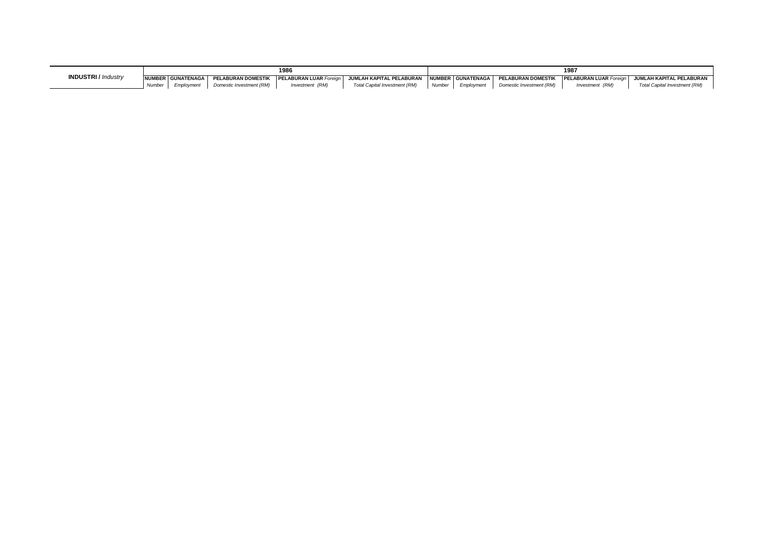|                            |              |                     |                           | 1986                          |                                                                    |        |            |                          | 198                           |                                     |
|----------------------------|--------------|---------------------|---------------------------|-------------------------------|--------------------------------------------------------------------|--------|------------|--------------------------|-------------------------------|-------------------------------------|
| <b>INDUSTRI</b> / Industry |              | NUMBER GUNATENAGA I | <b>PELABURAN DOMESTIK</b> | <b>PELABURAN LUAR Foreign</b> | JUMLAH KAPITAL PELABURAN INUMBER I GUNATENAGA I PELABURAN DOMESTIK |        |            |                          | <b>PELABURAN LUAR Foreign</b> | JUMLAH KAPITAL PELABURAN            |
|                            | <b>Numbe</b> |                     | Domestic Investment (RM)  | Investment (RM)               | Total Capital Investment (RM)                                      | Number | Emplovment | Domestic Investment (RM) | Investment (RM)               | <b>Total Capital Investment (RM</b> |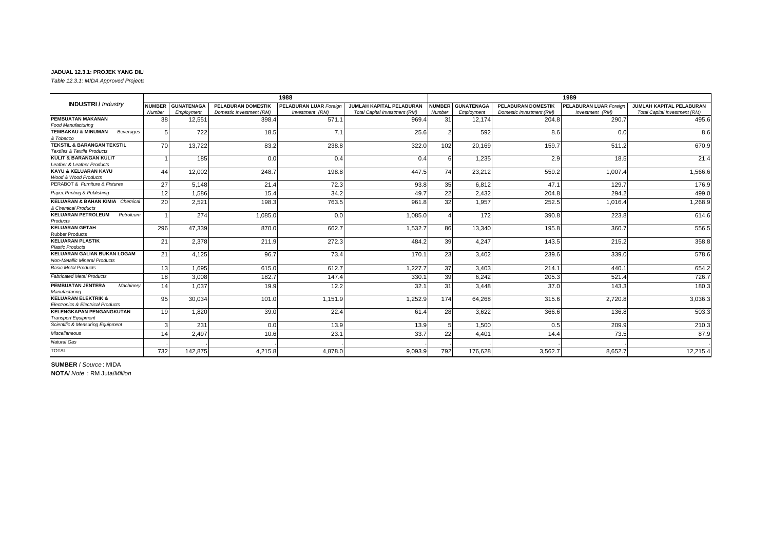*Table 12.3.1: MIDA Approved Projects* 

|                                                                                 |               |                   |                           | 1988                          |                                      |                        |                   |                           | 1989                          |                               |
|---------------------------------------------------------------------------------|---------------|-------------------|---------------------------|-------------------------------|--------------------------------------|------------------------|-------------------|---------------------------|-------------------------------|-------------------------------|
| <b>INDUSTRI/</b> Industry                                                       | <b>NUMBER</b> | <b>GUNATENAGA</b> | <b>PELABURAN DOMESTIK</b> | <b>PELABURAN LUAR Foreign</b> | JUMLAH KAPITAL PELABURAN             | <b>NUMBER</b>          | <b>GUNATENAGA</b> | <b>PELABURAN DOMESTIK</b> | <b>PELABURAN LUAR Foreign</b> | JUMLAH KAPITAL PELABURAN      |
|                                                                                 | Number        | Employment        | Domestic Investment (RM)  | Investment (RM)               | <b>Total Capital Investment (RM)</b> | Number                 | Employment        | Domestic Investment (RM)  | Investment (RM)               | Total Capital Investment (RM) |
| PEMBUATAN MAKANAN                                                               | 38            | 12.551            | 398.4                     | 571.1                         | 969.4                                | 31                     | 12.174            | 204.8                     | 290.7                         | 495.6                         |
| <b>Food Manufacturing</b>                                                       |               |                   |                           |                               |                                      |                        |                   |                           |                               |                               |
| <b>TEMBAKAU &amp; MINUMAN</b><br>Beverages<br>& Tobacco                         |               | 722               | 18.5                      | 7.1                           | 25.6                                 |                        | 592               | 8.6                       | 0. <sub>C</sub>               | 8.6                           |
| <b>TEKSTIL &amp; BARANGAN TEKSTIL</b><br><b>Textiles &amp; Textile Products</b> | 70            | 13.722            | 83.2                      | 238.8                         | 322.0                                | 102                    | 20.169            | 159.7                     | 511.2                         | 670.9                         |
| <b>KULIT &amp; BARANGAN KULIT</b><br>Leather & Leather Products                 |               | 185               | 0.0                       | 0.4                           | 0.4                                  | 6                      | 1.235             | 2.9                       | 18.5                          | 21.4                          |
| KAYU & KELUARAN KAYU<br>Wood & Wood Products                                    | 44            | 12,002            | 248.7                     | 198.8                         | 447.5                                | 74                     | 23,212            | 559.2                     | 1,007.4                       | 1,566.6                       |
| PERABOT & Furniture & Fixtures                                                  | 27            | 5.148             | 21.4                      | 72.3                          | 93.8                                 | 35                     | 6.812             | 47.1                      | 129.7                         | 176.9                         |
| Paper, Printing & Publishing                                                    | 12            | 1.586             | 15.4                      | 34.2                          | 49.7                                 | 22                     | 2.432             | 204.8                     | 294.2                         | 499.0                         |
| <b>KELUARAN &amp; BAHAN KIMIA Chemical</b><br>& Chemical Products               | 20            | 2,521             | 198.3                     | 763.5                         | 961.8                                | 32                     | 1.957             | 252.5                     | 1.016.4                       | 1,268.9                       |
| <b>KELUARAN PETROLEUM</b><br>Petroleum<br>Products                              |               | 274               | 1,085.0                   | 0.0                           | 1,085.0                              | $\boldsymbol{\Lambda}$ | 172               | 390.8                     | 223.8                         | 614.6                         |
| <b>KELUARAN GETAH</b><br><b>Rubber Products</b>                                 | 296           | 47.339            | 870.0                     | 662.7                         | 1,532.7                              | 86                     | 13,340            | 195.8                     | 360.7                         | 556.5                         |
| <b>KELUARAN PLASTIK</b><br><b>Plastic Products</b>                              | 21            | 2,378             | 211.9                     | 272.3                         | 484.2                                | 39                     | 4.247             | 143.5                     | 215.2                         | 358.8                         |
| <b>KELUARAN GALIAN BUKAN LOGAM</b><br><b>Non-Metallic Mineral Products</b>      | 21            | 4,125             | 96.7                      | 73.4                          | 170.1                                | 23                     | 3,402             | 239.6                     | 339.C                         | 578.6                         |
| <b>Basic Metal Products</b>                                                     | 13            | 1.695             | 615.0                     | 612.7                         | 1.227.7                              | 37                     | 3,403             | 214.7                     | 440.                          | 654.2                         |
| <b>Fabricated Metal Products</b>                                                | 18            | 3,008             | 182.7                     | 147.4                         | 330.1                                | 39                     | 6.242             | 205.3                     | 521.4                         | 726.7                         |
| PEMBUATAN JENTERA<br>Machinery<br>Manufacturing                                 | 14            | 1,037             | 19.9                      | 12.2                          | 32.1                                 | 31                     | 3,448             | 37.0                      | 143.3                         | 180.3                         |
| <b>KELUARAN ELEKTRIK &amp;</b><br><b>Electronics &amp; Electrical Products</b>  | 95            | 30.034            | 101.0                     | 1,151.9                       | 1.252.9                              | 174                    | 64.268            | 315.6                     | 2,720.8                       | 3.036.3                       |
| <b>KELENGKAPAN PENGANGKUTAN</b><br><b>Transport Equipment</b>                   | 19            | 1,820             | 39.0                      | 22.4                          | 61.4                                 | 28                     | 3,622             | 366.6                     | 136.8                         | 503.3                         |
| Scientific & Measuring Equipment                                                |               | 231               | 0.0                       | 13.9                          | 13.9                                 |                        | 1,500             | 0.5                       | 209.9                         | 210.3                         |
| Miscellaneous                                                                   | 14            | 2,497             | 10.6                      | 23.1                          | 33.7                                 | 22                     | 4.401             | 14.4                      | 73.5                          | 87.9                          |
| <b>Natural Gas</b>                                                              |               |                   |                           |                               |                                      |                        |                   |                           |                               |                               |
| <b>TOTAL</b>                                                                    | 732           | 142,875           | 4,215.8                   | 4,878.0                       | 9,093.9                              | 792                    | 176,628           | 3,562.7                   | 8,652.7                       | 12,215.4                      |

**SUMBER** / *Source* : MIDA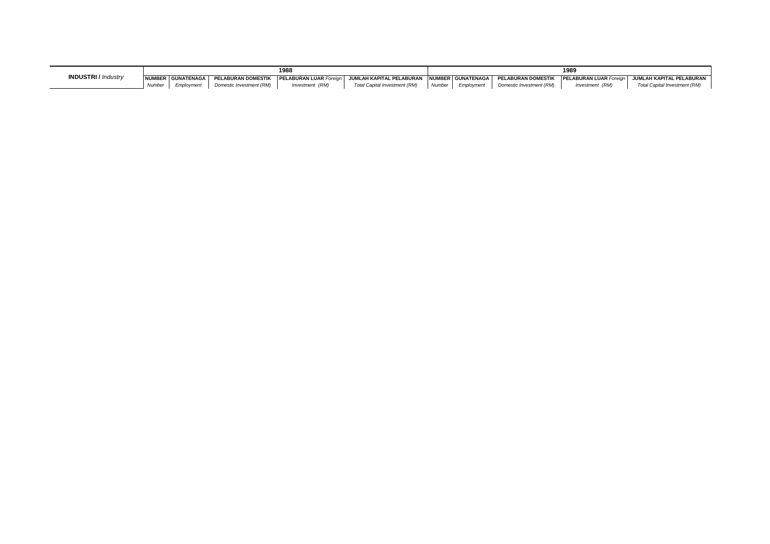|                            |                      |                          | 1988            |                                                                                                                                                                                    |          |            |                          | 1989            |                               |
|----------------------------|----------------------|--------------------------|-----------------|------------------------------------------------------------------------------------------------------------------------------------------------------------------------------------|----------|------------|--------------------------|-----------------|-------------------------------|
| <b>INDUSTRI</b> / Industry | INUMBER I GUNATENAGA |                          |                 | I PELABURAN DOMESTIK IPELABURAN LUAR <i>Foreign</i> I JUMLAH KAPITAL PELABURAN INUMBER I GUNATENAGA I PELABURAN DOMESTIK IPELABURAN LUAR <i>Foreign</i> I JUMLAH KAPITAL PELABURAN |          |            |                          |                 |                               |
|                            | Employment           | Domestic Investment (RM) | Investment (RM) | Total Capital Investment (RM)                                                                                                                                                      | Number 1 | Emplovment | Domestic Investment (RM) | Investment (RM) | Total Capital Investment (RM) |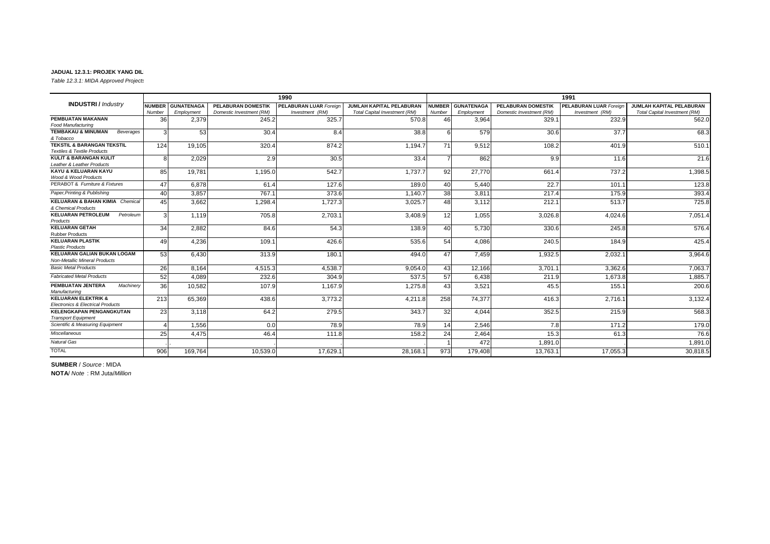*Table 12.3.1: MIDA Approved Projects* 

|                                                               |                 |                   |                           | 1990                          |                               |               |                   |                           | 1991                          |                                 |
|---------------------------------------------------------------|-----------------|-------------------|---------------------------|-------------------------------|-------------------------------|---------------|-------------------|---------------------------|-------------------------------|---------------------------------|
| <b>INDUSTRI/</b> Industry                                     | <b>NUMBER</b>   | <b>GUNATENAGA</b> | <b>PELABURAN DOMESTIK</b> | <b>PELABURAN LUAR Foreign</b> | JUMLAH KAPITAL PELABURAN      | <b>NUMBER</b> | <b>GUNATENAGA</b> | <b>PELABURAN DOMESTIK</b> | <b>PELABURAN LUAR Foreian</b> | <b>JUMLAH KAPITAL PELABURAN</b> |
|                                                               | Number          | Employment        | Domestic Investment (RM)  | Investment (RM)               | Total Capital Investment (RM) | Number        | Employment        | Domestic Investment (RM)  | Investment (RM)               | Total Capital Investment (RM)   |
| PEMBUATAN MAKANAN                                             | 36              | 2,379             | 245.2                     | 325.7                         | 570.8                         | 46            | 3,964             | 329.1                     | 232.9                         | 562.0                           |
| <b>Food Manufacturing</b>                                     |                 |                   |                           |                               |                               |               |                   |                           |                               |                                 |
| <b>TEMBAKAU &amp; MINUMAN</b><br>Beverages<br>& Tobacco       | 3               | 53                | 30.4                      | 8.4                           | 38.8                          | 6             | 579               | 30.6                      | 37.7                          | 68.3                            |
| <b>TEKSTIL &amp; BARANGAN TEKSTIL</b>                         | 124             | 19,105            | 320.4                     | 874.2                         | 1.194.7                       | 71            | 9,512             | 108.2                     | 401.9                         | 510.1                           |
| <b>Textiles &amp; Textile Products</b>                        |                 |                   |                           |                               |                               |               |                   |                           |                               |                                 |
| <b>KULIT &amp; BARANGAN KULIT</b>                             | 8               | 2,029             | 2.9                       | 30.5                          | 33.4                          |               | 862               | 9.9                       | 11.6                          | 21.6                            |
| Leather & Leather Products                                    |                 |                   |                           |                               |                               |               |                   |                           |                               |                                 |
| <b>KAYU &amp; KELUARAN KAYU</b>                               | 85              | 19.781            | 1,195.0                   | 542.7                         | 1,737.7                       | 92            | 27.770            | 661.4                     | 737.2                         | 1,398.5                         |
| Wood & Wood Products                                          |                 |                   |                           |                               |                               |               |                   |                           |                               |                                 |
| PERABOT & Furniture & Fixtures                                | 47              | 6.878             | 61.4                      | 127.6                         | 189.0                         | 40            | 5.440             | 22.7                      | 101.1                         | 123.8                           |
| Paper, Printing & Publishing                                  | 40 <sup>1</sup> | 3.857             | 767.1                     | 373.6                         | 1.140.7                       | 38            | 3.811             | 217.4                     | 175.9                         | 393.4                           |
| <b>KELUARAN &amp; BAHAN KIMIA Chemical</b>                    | 45              | 3,662             | 1,298.4                   | 1,727.3                       | 3,025.7                       | 48            | 3,112             | 212.1                     | 513.7                         | 725.8                           |
| & Chemical Products                                           |                 |                   |                           |                               |                               |               |                   |                           |                               |                                 |
| <b>KELUARAN PETROLEUM</b><br>Petroleum                        | 3               | 1.119             | 705.8                     | 2,703.1                       | 3.408.9                       | 12            | 1.055             | 3,026.8                   | 4.024.6                       | 7,051.4                         |
| Products                                                      |                 |                   |                           |                               |                               |               |                   |                           |                               |                                 |
| <b>KELUARAN GETAH</b><br><b>Rubber Products</b>               | 34              | 2.882             | 84.6                      | 54.3                          | 138.9                         | 40            | 5.730             | 330.6                     | 245.8                         | 576.4                           |
| <b>KELUARAN PLASTIK</b>                                       | 49              | 4,236             | 109.1                     | 426.6                         | 535.6                         | 54            | 4.086             | 240.5                     | 184.9                         | 425.4                           |
| <b>Plastic Products</b>                                       |                 |                   |                           |                               |                               |               |                   |                           |                               |                                 |
| <b>KELUARAN GALIAN BUKAN LOGAM</b>                            | 53              | 6,430             | 313.9                     | 180.1                         | 494.0                         | 47            | 7,459             | 1,932.5                   | 2,032.7                       | 3,964.6                         |
| <b>Non-Metallic Mineral Products</b>                          |                 |                   |                           |                               |                               |               |                   |                           |                               |                                 |
| <b>Basic Metal Products</b>                                   | 26              | 8.164             | 4,515.3                   | 4,538.7                       | 9,054.0                       | 43            | 12,166            | 3,701.1                   | 3,362.6                       | 7,063.7                         |
| <b>Fabricated Metal Products</b>                              | 52              | 4,089             | 232.6                     | 304.9                         | 537.5                         | 57            | 6.438             | 211.9                     | 1.673.8                       | 1,885.7                         |
| PEMBUATAN JENTERA<br>Machinery<br>Manufacturing               | 36              | 10,582            | 107.9                     | 1,167.9                       | 1,275.8                       | 43            | 3,521             | 45.5                      | 155.7                         | 200.6                           |
| <b>KELUARAN ELEKTRIK &amp;</b>                                | 213             | 65,369            | 438.6                     | 3,773.2                       | 4,211.8                       | 258           | 74,377            | 416.3                     | 2,716.7                       | 3,132.4                         |
| <b>Electronics &amp; Electrical Products</b>                  |                 |                   |                           |                               |                               |               |                   |                           |                               |                                 |
| <b>KELENGKAPAN PENGANGKUTAN</b><br><b>Transport Equipment</b> | 23              | 3,118             | 64.2                      | 279.5                         | 343.7                         | 32            | 4,044             | 352.5                     | 215.9                         | 568.3                           |
| Scientific & Measuring Equipment                              |                 | 1,556             | 0.0                       | 78.9                          | 78.9                          | 14            | 2,546             | 7.8                       | 171.2                         | 179.0                           |
| Miscellaneous                                                 | 25              | 4.475             | 46.4                      | 111.8                         | 158.2                         | 24            | 2,464             | 15.3                      | 61.3                          | 76.6                            |
| <b>Natural Gas</b>                                            |                 |                   |                           |                               |                               |               | 472               | 1.891.0                   |                               | 1,891.0                         |
| <b>TOTAL</b>                                                  |                 |                   |                           |                               |                               |               |                   |                           |                               |                                 |
|                                                               | 906             | 169,764           | 10,539.0                  | 17,629.1                      | 28,168.1                      | 973           | 179,408           | 13,763.1                  | 17,055.3                      | 30,818.5                        |

**SUMBER** / *Source* : MIDA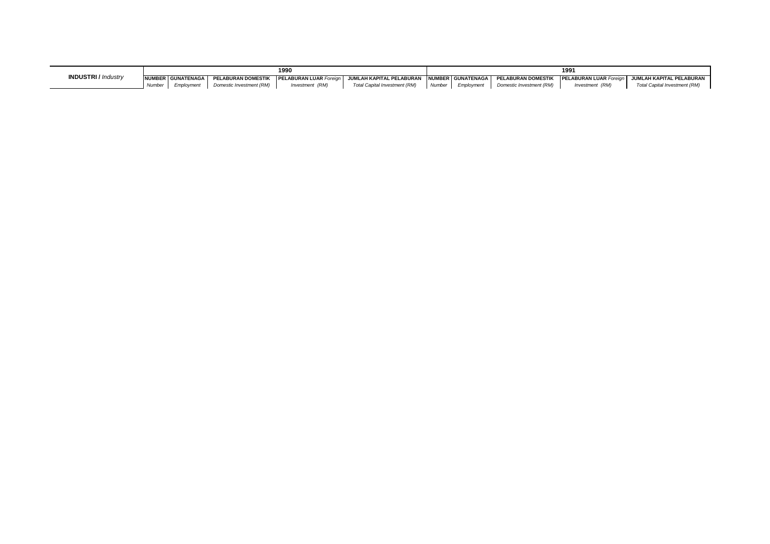|                            |                      |                          | 1990                                             |                                                                                           |        |            |                          | 199'            |                               |
|----------------------------|----------------------|--------------------------|--------------------------------------------------|-------------------------------------------------------------------------------------------|--------|------------|--------------------------|-----------------|-------------------------------|
| <b>INDUSTRI</b> / Industry | NUMBER GUNATENAGA    |                          | <b>PELABURAN DOMESTIK PELABURAN LUAR Foreian</b> | JUMLAH KAPITAL PELABURAN   NUMBER   GUNATENAGA   PELABURAN DOMESTIK   PELABURAN LUAR Fore |        |            |                          |                 | JUMLAH KAPITAL PELABURAN      |
|                            | Employment<br>Number | Domestic Investment (RM) | Investment (RM)                                  | Total Capital Investment (RM)                                                             | Number | Employment | Domestic Investment (RM) | Investment (RM) | Total Capital Investment (RM) |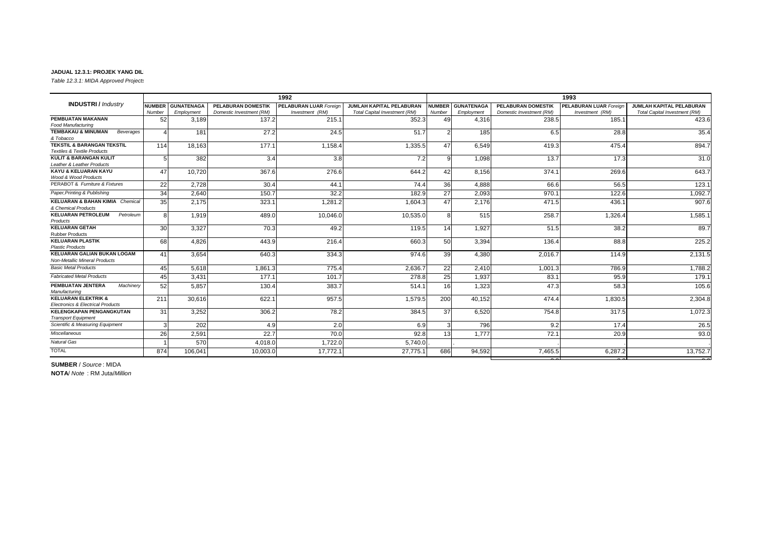*Table 12.3.1: MIDA Approved Projects* 

|                                                                                 |               |                   |                           | 1992                          |                               |               |                   |                          | 1993                          |                               |
|---------------------------------------------------------------------------------|---------------|-------------------|---------------------------|-------------------------------|-------------------------------|---------------|-------------------|--------------------------|-------------------------------|-------------------------------|
| <b>INDUSTRI</b> / Industry                                                      | <b>NUMBER</b> | <b>GUNATENAGA</b> | <b>PELABURAN DOMESTIK</b> | <b>PELABURAN LUAR Foreign</b> | JUMLAH KAPITAL PELABURAN      | <b>NUMBER</b> | <b>GUNATENAGA</b> | PELABURAN DOMESTIK       | <b>PELABURAN LUAR Foreign</b> | JUMLAH KAPITAL PELABURAN      |
|                                                                                 | Number        | Employment        | Domestic Investment (RM)  | Investment (RM)               | Total Capital Investment (RM) | Number        | Employment        | Domestic Investment (RM) | Investment (RM)               | Total Capital Investment (RM) |
| <b>PEMBUATAN MAKANAN</b>                                                        | 52            | 3.189             | 137.2                     | 215.1                         | 352.3                         | 49            | 4,316             | 238.5                    | 185.1                         | 423.6                         |
| Food Manufacturing                                                              |               |                   |                           |                               |                               |               |                   |                          |                               |                               |
| <b>TEMBAKAU &amp; MINUMAN</b><br>Beverages<br>& Tobacco                         | $\lambda$     | 181               | 27.2                      | 24.5                          | 51.7                          |               | 185               | 6.5                      | 28.8                          | 35.4                          |
| <b>TEKSTIL &amp; BARANGAN TEKSTIL</b><br><b>Textiles &amp; Textile Products</b> | 114           | 18,163            | 177.1                     | 1,158.4                       | 1,335.5                       | 47            | 6,549             | 419.3                    | 475.4                         | 894.7                         |
| <b>KULIT &amp; BARANGAN KULIT</b><br>Leather & Leather Products                 |               | 382               | 3.4                       | 3.8                           | 7.2                           | q             | 1,098             | 13.7                     | 17.3                          | 31.0                          |
| KAYU & KELUARAN KAYU<br>Wood & Wood Products                                    | 47            | 10,720            | 367.6                     | 276.6                         | 644.2                         | 42            | 8,156             | 374.1                    | 269.6                         | 643.7                         |
| PERABOT & Furniture & Fixtures                                                  | 22            | 2.728             | 30.4                      | 44.1                          | 74.4                          | 36            | 4.888             | 66.6                     | 56.5                          | 123.1                         |
| Paper, Printing & Publishing                                                    | 34            | 2.640             | 150.7                     | 32.2                          | 182.9                         | 27            | 2,093             | 970.7                    | 122.6                         | 1,092.7                       |
| <b>KELUARAN &amp; BAHAN KIMIA Chemical</b><br>& Chemical Products               | 35            | 2.175             | 323.1                     | 1,281.2                       | 1,604.3                       | 47            | 2.176             | 471.5                    | 436.                          | 907.6                         |
| <b>KELUARAN PETROLEUM</b><br>Petroleum<br>Products                              | 8             | 1.919             | 489.0                     | 10,046.0                      | 10,535.0                      | 8             | 515               | 258.7                    | 1,326.4                       | 1,585.                        |
| <b>KELUARAN GETAH</b><br><b>Rubber Products</b>                                 | 30            | 3,327             | 70.3                      | 49.2                          | 119.5                         | 14            | 1.927             | 51.5                     | 38.2                          | 89.7                          |
| <b>KELUARAN PLASTIK</b><br><b>Plastic Products</b>                              | 68            | 4,826             | 443.9                     | 216.4                         | 660.3                         | 50            | 3,394             | 136.4                    | 88.8                          | 225.2                         |
| <b>KELUARAN GALIAN BUKAN LOGAM</b><br>Non-Metallic Mineral Products             | 41            | 3,654             | 640.3                     | 334.3                         | 974.6                         | 39            | 4,380             | 2,016.7                  | 114.9                         | 2,131.5                       |
| <b>Basic Metal Products</b>                                                     | 45            | 5.618             | 1,861.3                   | 775.4                         | 2,636.7                       | 22            | 2.410             | 1,001.3                  | 786.9                         | 1,788.2                       |
| <b>Fabricated Metal Products</b>                                                | 45            | 3.431             | 177.1                     | 101.7                         | 278.8                         | 25            | 1,937             | 83.1                     | 95.9                          | 179.1                         |
| PEMBUATAN JENTERA<br>Machinery<br>Manufacturing                                 | 52            | 5.857             | 130.4                     | 383.7                         | 514.1                         | 16            | 1.323             | 47.3                     | 58.3                          | 105.6                         |
| <b>KELUARAN ELEKTRIK &amp;</b><br><b>Electronics &amp; Electrical Products</b>  | 211           | 30,616            | 622.1                     | 957.5                         | 1,579.5                       | 200           | 40.152            | 474.4                    | 1.830.5                       | 2,304.8                       |
| <b>KELENGKAPAN PENGANGKUTAN</b><br><b>Transport Equipment</b>                   | 31            | 3,252             | 306.2                     | 78.2                          | 384.5                         | 37            | 6,520             | 754.8                    | 317.5                         | 1,072.3                       |
| Scientific & Measuring Equipment                                                |               | 202               | 4.9                       | 2.0                           | 6.9                           |               | 796               | 9.2                      | 17.4                          | 26.5                          |
| Miscellaneous                                                                   | 26            | 2,591             | 22.7                      | 70.0                          | 92.8                          | 13            | 1.777             | 72.1                     | 20.9                          | 93.0                          |
| Natural Gas                                                                     |               | 570               | 4.018.0                   | 1,722.0                       | 5,740.0                       |               |                   |                          |                               |                               |
| <b>TOTAL</b>                                                                    | 874           | 106,041           | 10,003.0                  | 17,772.                       | 27,775.1                      | 686           | 94,592            | 7,465.5                  | 6,287.2                       | 13,752.7                      |

0.0 0.0 0.0

**SUMBER** / *Source* : MIDA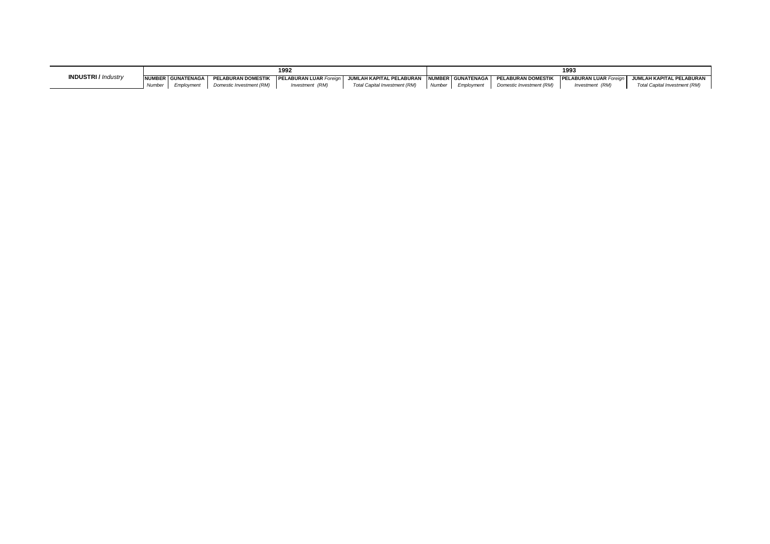|                            |       | 1992              |                           |                               |                                                |        |            | 199.                      |                               |                               |  |  |
|----------------------------|-------|-------------------|---------------------------|-------------------------------|------------------------------------------------|--------|------------|---------------------------|-------------------------------|-------------------------------|--|--|
| <b>INDUSTRI</b> / Industry |       | NUMBER GUNATENAGA | <b>PELABURAN DOMESTIK</b> | <b>PELABURAN LUAR Foreign</b> | JUMLAH KAPITAL PELABURAN INUMBERI GUNATENAGA I |        |            | <b>FELABURAN DOMESTIK</b> | <b>PELABURAN LUAR Foreign</b> | I JUMLAH KAPITAL PELABURAN    |  |  |
|                            | Numbe |                   | Domestic Investment (RM)  | Investment (RM)               | Total Capital Investment (RM)                  | Number | Employment | Domestic Investment (RM)  | Investment (RM)               | Total Capital Investment (RM) |  |  |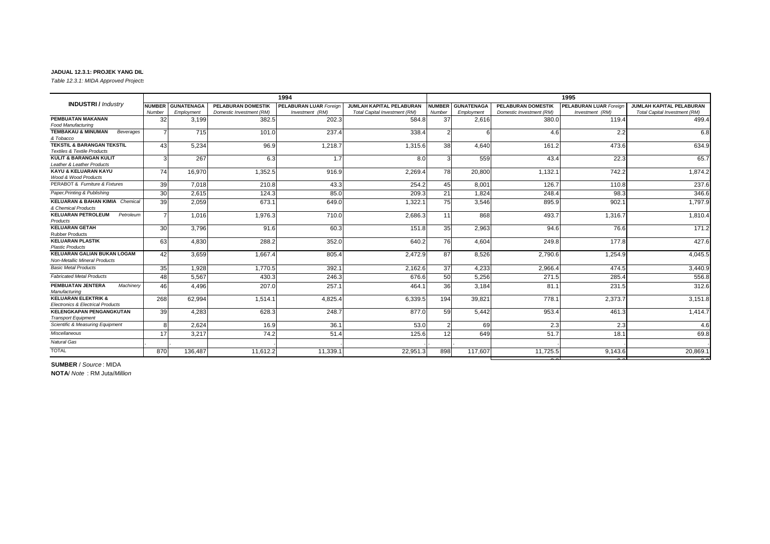*Table 12.3.1: MIDA Approved Projects* 

|                                                                                 |                          |                   |                           | 1994                          |                               | 1995            |                   |                           |                               |                               |  |
|---------------------------------------------------------------------------------|--------------------------|-------------------|---------------------------|-------------------------------|-------------------------------|-----------------|-------------------|---------------------------|-------------------------------|-------------------------------|--|
| <b>INDUSTRI/</b> Industry                                                       | <b>NUMBER</b>            | <b>GUNATENAGA</b> | <b>PELABURAN DOMESTIK</b> | <b>PELABURAN LUAR Foreign</b> | JUMLAH KAPITAL PELABURAN      | <b>NUMBER</b>   | <b>GUNATENAGA</b> | <b>PELABURAN DOMESTIK</b> | <b>PELABURAN LUAR Foreign</b> | JUMLAH KAPITAL PELABURAN      |  |
|                                                                                 | Number                   | Employment        | Domestic Investment (RM)  | Investment (RM)               | Total Capital Investment (RM) | Number          | Employment        | Domestic Investment (RM)  | Investment (RM)               | Total Capital Investment (RM) |  |
| PEMBUATAN MAKANAN                                                               | 32                       | 3.199             | 382.5                     | 202.3                         | 584.8                         | 37              | 2,616             | 380.0                     | 119.4                         | 499.4                         |  |
| Food Manufacturing                                                              |                          |                   |                           |                               |                               |                 |                   |                           |                               |                               |  |
| <b>TEMBAKAU &amp; MINUMAN</b><br>Beverages<br>& Tobacco                         | $\overline{\phantom{a}}$ | 715               | 101.0                     | 237.4                         | 338.4                         | 2               | 6                 | 4.6                       | 2.2                           | 6.8                           |  |
| <b>TEKSTIL &amp; BARANGAN TEKSTIL</b><br><b>Textiles &amp; Textile Products</b> | 43                       | 5,234             | 96.9                      | 1,218.7                       | 1,315.6                       | 38 <sup>1</sup> | 4.640             | 161.2                     | 473.6                         | 634.9                         |  |
| <b>KULIT &amp; BARANGAN KULIT</b><br>Leather & Leather Products                 | 3                        | 267               | 6.3                       | 1.7                           | 8.0                           | 3               | 559               | 43.4                      | 22.3                          | 65.7                          |  |
| KAYU & KELUARAN KAYU<br>Wood & Wood Products                                    | 74                       | 16,970            | 1,352.5                   | 916.9                         | 2,269.4                       | 78              | 20,800            | 1,132.7                   | 742.2                         | 1,874.2                       |  |
| PERABOT & Furniture & Fixtures                                                  | 39                       | 7.018             | 210.8                     | 43.3                          | 254.2                         | 45              | 8,001             | 126.7                     | 110.8                         | 237.6                         |  |
| Paper, Printing & Publishing                                                    | 30                       | 2,615             | 124.3                     | 85.0                          | 209.3                         | 21              | 1,824             | 248.4                     | 98.3                          | 346.6                         |  |
| <b>KELUARAN &amp; BAHAN KIMIA</b> Chemical<br>& Chemical Products               | 39                       | 2,059             | 673.1                     | 649.0                         | 1,322.1                       | 75              | 3.546             | 895.9                     | 902.1                         | 1,797.9                       |  |
| <b>KELUARAN PETROLEUM</b><br>Petroleum<br>Products                              | $\overline{7}$           | 1.016             | 1,976.3                   | 710.0                         | 2.686.3                       | 11              | 868               | 493.7                     | 1,316.7                       | 1.810.4                       |  |
| <b>KELUARAN GETAH</b><br><b>Rubber Products</b>                                 | 30                       | 3.796             | 91.6                      | 60.3                          | 151.8                         | 35              | 2,963             | 94.6                      | 76.6                          | 171.2                         |  |
| <b>KELUARAN PLASTIK</b><br><b>Plastic Products</b>                              | 63                       | 4,830             | 288.2                     | 352.0                         | 640.2                         | 76              | 4,604             | 249.8                     | 177.8                         | 427.6                         |  |
| <b>KELUARAN GALIAN BUKAN LOGAM</b><br><b>Non-Metallic Mineral Products</b>      | 42                       | 3,659             | 1,667.4                   | 805.4                         | 2,472.9                       | 87              | 8,526             | 2,790.6                   | 1,254.9                       | 4,045.5                       |  |
| <b>Basic Metal Products</b>                                                     | 35                       | 1.928             | 1.770.5                   | 392.                          | 2.162.6                       | 37              | 4.233             | 2,966.4                   | 474.5                         | 3,440.9                       |  |
| <b>Fabricated Metal Products</b>                                                | 48                       | 5.567             | 430.3                     | 246.3                         | 676.6                         | 50              | 5,256             | 271.5                     | 285.4                         | 556.8                         |  |
| PEMBUATAN JENTERA<br>Machinery<br>Manufacturing                                 | 46                       | 4,496             | 207.0                     | 257.1                         | 464.1                         | 36              | 3,184             | 81.1                      | 231.5                         | 312.6                         |  |
| <b>KELUARAN ELEKTRIK &amp;</b><br><b>Electronics &amp; Electrical Products</b>  | 268                      | 62,994            | 1,514.1                   | 4,825.4                       | 6,339.5                       | 194             | 39,821            | 778.1                     | 2,373.7                       | 3,151.8                       |  |
| <b>KELENGKAPAN PENGANGKUTAN</b><br><b>Transport Equipment</b>                   | 39                       | 4.283             | 628.3                     | 248.7                         | 877.0                         | 59              | 5.442             | 953.4                     | 461.3                         | 1.414.7                       |  |
| Scientific & Measuring Equipment                                                | $\mathsf{R}$             | 2.624             | 16.9                      | 36.1                          | 53.0                          |                 | 69                | 2.3                       | 2.3                           | 4.6                           |  |
| Miscellaneous                                                                   | 17                       | 3,217             | 74.2                      | 51.4                          | 125.6                         | 12              | 649               | 51.7                      | 18.1                          | 69.8                          |  |
| <b>Natural Gas</b>                                                              |                          |                   |                           |                               |                               |                 |                   |                           |                               |                               |  |
| <b>TOTAL</b>                                                                    | 870                      | 136,487           | 11,612.2                  | 11,339.                       | 22,951.3                      | 898             | 117,607           | 11,725.5                  | 9,143.6                       | 20,869.1                      |  |

0.0 0.0 0.0

**SUMBER** / *Source* : MIDA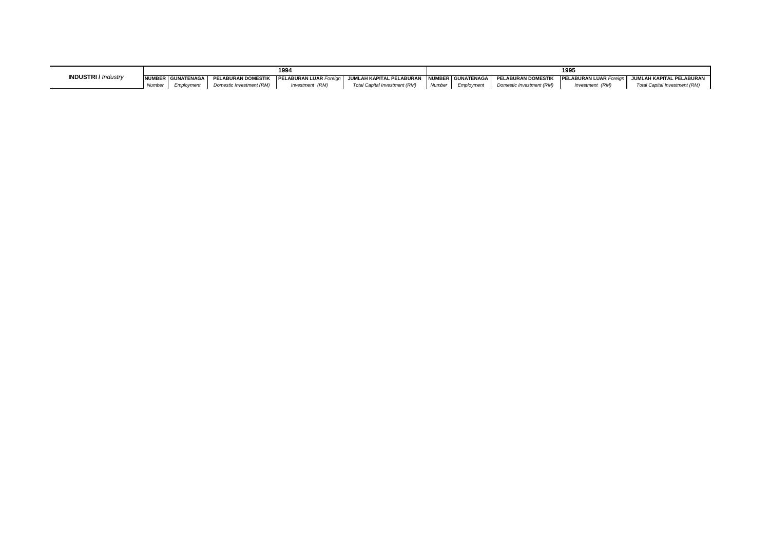| <b>INDUSTRI</b> / Industry |        | 1994                |                           |                              |                               |        |                   | 199'                                         |                 |                               |  |  |
|----------------------------|--------|---------------------|---------------------------|------------------------------|-------------------------------|--------|-------------------|----------------------------------------------|-----------------|-------------------------------|--|--|
|                            |        | NUMBER GUNATENAGA I | <b>PELABURAN DOMESTIK</b> | Y <b>PELABURAN LUAR Fore</b> | JUMLAH KAPITAL PELABURAN      |        | NUMBER GUNATENAGA | <b>PELABURAN DOMESTIK PELABURAN LUAR For</b> |                 | JUMLAH KAPITAL PELABURAN      |  |  |
|                            | Number | Employment          | Domestic Investment (RM)  | Investment (RM)              | Total Capital Investment (RM) | Number | Emplovment        | Domestic Investment (RM)                     | Investment (RM) | Total Capital Investment (RM) |  |  |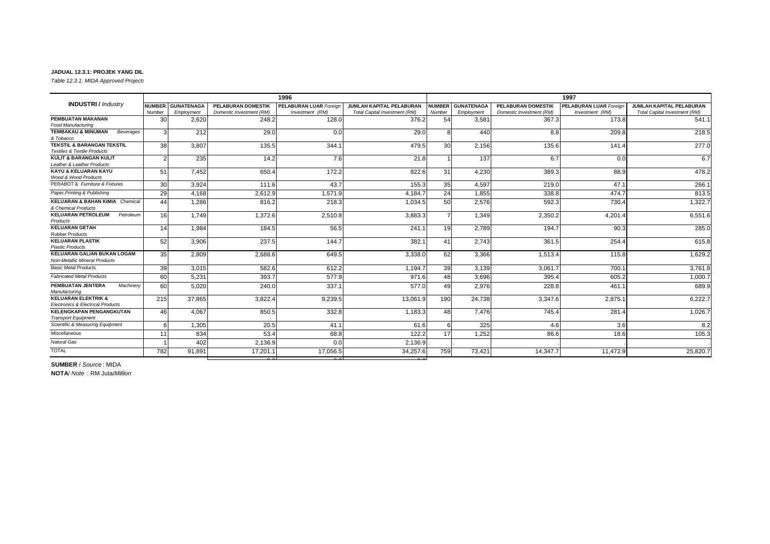*Table 12.3.1: MIDA Approved Projects* 

|                                                                                 |               |                   |                           | 1996                          |                               |                 |                   |                           | 1997                          |                                 |
|---------------------------------------------------------------------------------|---------------|-------------------|---------------------------|-------------------------------|-------------------------------|-----------------|-------------------|---------------------------|-------------------------------|---------------------------------|
| <b>INDUSTRI</b> / Industry                                                      | <b>NUMBER</b> | <b>GUNATENAGA</b> | <b>PELABURAN DOMESTIK</b> | <b>PELABURAN LUAR Foreign</b> | JUMLAH KAPITAL PELABURAN      | <b>NUMBER</b>   | <b>GUNATENAGA</b> | <b>PELABURAN DOMESTIK</b> | <b>PELABURAN LUAR Foreign</b> | <b>JUMLAH KAPITAL PELABURAN</b> |
|                                                                                 | Number        | Employment        | Domestic Investment (RM)  | Investment (RM)               | Total Capital Investment (RM) | Number          | Employment        | Domestic Investment (RM)  | Investment (RM)               | Total Capital Investment (RM)   |
| PEMBUATAN MAKANAN                                                               | 30            | 2,620             | 248.2                     | 128.0                         | 376.2                         | 54              | 3.581             | 367.3                     | 173.8                         | 541.1                           |
| <b>Food Manufacturing</b>                                                       |               |                   |                           |                               |                               |                 |                   |                           |                               |                                 |
| <b>TEMBAKAU &amp; MINUMAN</b><br>Beverages<br>& Tobacco                         | 3             | 212               | 29.0                      | 0.0                           | 29.0                          | 8               | 440               | 8.8                       | 209.8                         | 218.5                           |
| <b>TEKSTIL &amp; BARANGAN TEKSTIL</b><br><b>Textiles &amp; Textile Products</b> | 38            | 3,807             | 135.5                     | 344.1                         | 479.5                         | 30 <sup>1</sup> | 2,156             | 135.6                     | 141.4                         | 277.0                           |
| <b>KULIT &amp; BARANGAN KULIT</b><br>Leather & Leather Products                 |               | 235               | 14.2                      | 7.6                           | 21.8                          |                 | 137               | 6.7                       | 0.0                           | 6.7                             |
| KAYU & KELUARAN KAYU<br>Wood & Wood Products                                    | 51            | 7,452             | 650.4                     | 172.2                         | 822.6                         | 31              | 4,230             | 389.3                     | 88.9                          | 478.2                           |
| PERABOT & Furniture & Fixtures                                                  | 30            | 3,924             | 111.6                     | 43.7                          | 155.3                         | 35              | 4,597             | 219.0                     | 47.1                          | 266.1                           |
| Paper, Printing & Publishing                                                    | 29            | 4,168             | 2,612.9                   | 1,571.9                       | 4,184.7                       | 24              | 1.855             | 338.8                     | 474.7                         | 813.5                           |
| <b>KELUARAN &amp; BAHAN KIMIA Chemical</b><br>& Chemical Products               | 44            | 1,286             | 816.2                     | 218.3                         | 1,034.5                       | 50              | 2,576             | 592.3                     | 730.4                         | 1,322.7                         |
| <b>KELUARAN PETROLEUM</b><br>Petroleum<br>Products                              | 16            | 1.749             | 1,372.6                   | 2,510.8                       | 3,883.3                       |                 | 1,349             | 2,350.2                   | 4,201.4                       | 6,551.6                         |
| <b>KELUARAN GETAH</b><br><b>Rubber Products</b>                                 | 14            | 1,984             | 184.5                     | 56.5                          | 241.1                         | 19 <sup>1</sup> | 2,789             | 194.7                     | 90.3                          | 285.0                           |
| <b>KELUARAN PLASTIK</b><br><b>Plastic Products</b>                              | 52            | 3.906             | 237.5                     | 144.7                         | 382.1                         | 41              | 2.743             | 361.5                     | 254.4                         | 615.8                           |
| <b>KELUARAN GALIAN BUKAN LOGAM</b><br>Non-Metallic Mineral Products             | 35            | 2.809             | 2,688.6                   | 649.5                         | 3,338.0                       | 62              | 3.366             | 1,513.4                   | 115.8                         | 1,629.2                         |
| <b>Basic Metal Products</b>                                                     | 39            | 3.015             | 582.6                     | 612.2                         | 1.194.7                       | 39 <sub>1</sub> | 3,139             | 3.061.7                   | 700.7                         | 3,761.8                         |
| <b>Fabricated Metal Products</b>                                                | 60            | 5.231             | 393.7                     | 577.9                         | 971.6                         | 48              | 3.696             | 395.4                     | 605.2                         | 1,000.7                         |
| PEMBUATAN JENTERA<br>Machinerv<br>Manufacturing                                 | 60            | 5,020             | 240.0                     | 337.1                         | 577.0                         | 49              | 2,976             | 228.8                     | 461.1                         | 689.9                           |
| <b>KELUARAN ELEKTRIK &amp;</b><br><b>Electronics &amp; Electrical Products</b>  | 215           | 37,865            | 3,822.4                   | 9,239.5                       | 13,061.9                      | 190             | 24,738            | 3,347.6                   | 2,875.1                       | 6,222.7                         |
| <b>KELENGKAPAN PENGANGKUTAN</b><br><b>Transport Equipment</b>                   | 46            | 4,067             | 850.5                     | 332.8                         | 1,183.3                       | 48              | 7.476             | 745.4                     | 281.4                         | 1,026.7                         |
| Scientific & Measuring Equipment                                                | 6             | 1,305             | 20.5                      | 41.1                          | 61.6                          |                 | 325               | 4.6                       | 3.6                           | 8.2                             |
| Miscellaneous                                                                   | 11            | 834               | 53.4                      | 68.8                          | 122.2                         | 17              | 1.252             | 86.6                      | 18.6                          | 105.3                           |
| <b>Natural Gas</b>                                                              |               | 402               | 2,136.9                   | 0.0                           | 2,136.9                       |                 |                   |                           |                               |                                 |
| <b>TOTAL</b>                                                                    | 782           | 91,891            | 17,201.1                  | 17,056.5                      | 34,257.6                      | 759             | 73.421            | 14.347.7                  | 11.472.9                      | 25,820.7                        |

0.0 0.0 0.0

**SUMBER** / *Source* : MIDA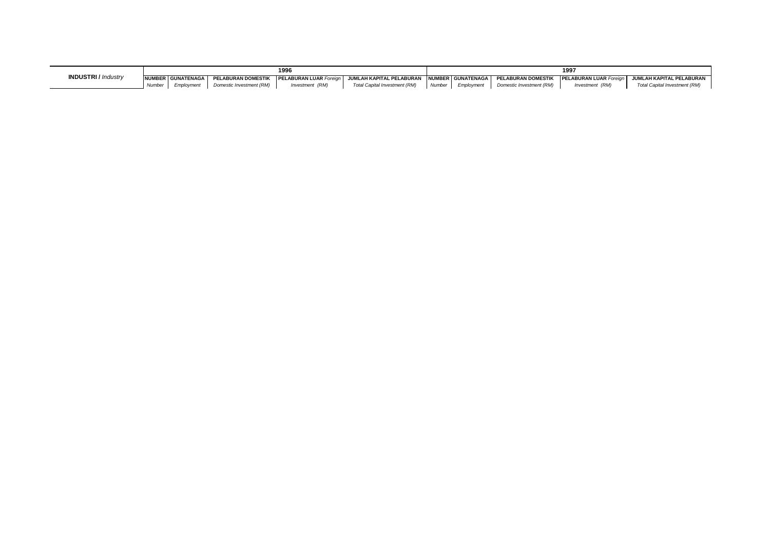|                            |       | 1996                |                           |                               |                                            |        |            | 199                      |                               |                                 |  |  |
|----------------------------|-------|---------------------|---------------------------|-------------------------------|--------------------------------------------|--------|------------|--------------------------|-------------------------------|---------------------------------|--|--|
| <b>INDUSTRI</b> / Industry |       | NUMBER GUNATENAGA I | <b>PELABURAN DOMESTIK</b> | <b>PELABURAN LUAR Foreign</b> | JUMLAH KAPITAL PELABURAN NUMBER GUNATENAGA |        |            | PELABURAN DOMESTIK       | <b>PELABURAN LUAR Foreian</b> | <b>JUMLAH KAPITAL PELABURAN</b> |  |  |
|                            | Numbe | Employment          | Domestic Investment (RM)  | Investment (RM)               | Total Capital Investment (RM)              | Number | Employment | Domestic Investment (RM) | Investment (RM)               | Total Capital Investment (RM)   |  |  |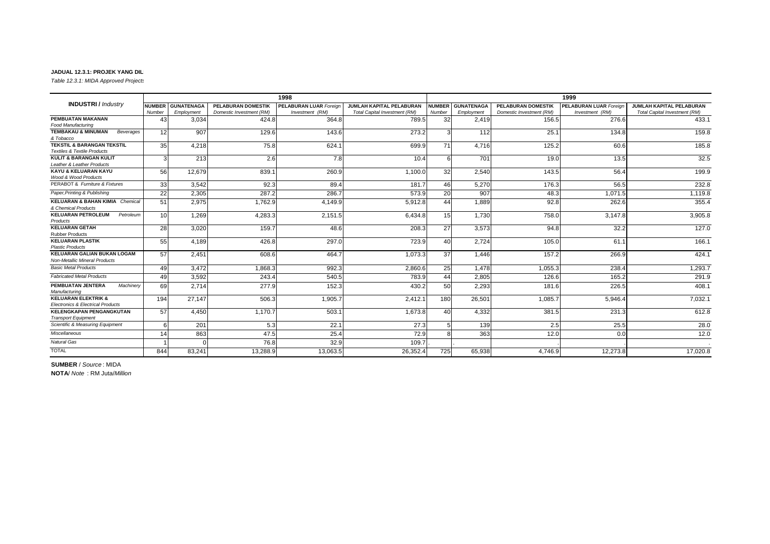*Table 12.3.1: MIDA Approved Projects* 

|                                                                                 |                 |                   |                           | 1998                          |                               |               |                   |                           | 1999                          |                                 |
|---------------------------------------------------------------------------------|-----------------|-------------------|---------------------------|-------------------------------|-------------------------------|---------------|-------------------|---------------------------|-------------------------------|---------------------------------|
| <b>INDUSTRI</b> / Industry                                                      | <b>NUMBER</b>   | <b>GUNATENAGA</b> | <b>PELABURAN DOMESTIK</b> | <b>PELABURAN LUAR Foreign</b> | JUMLAH KAPITAL PELABURAN      | <b>NUMBER</b> | <b>GUNATENAGA</b> | <b>PELABURAN DOMESTIK</b> | <b>PELABURAN LUAR Foreign</b> | <b>JUMLAH KAPITAL PELABURAN</b> |
|                                                                                 | Number          | Employment        | Domestic Investment (RM)  | Investment (RM)               | Total Capital Investment (RM) | Number        | Employment        | Domestic Investment (RM)  | Investment (RM)               | Total Capital Investment (RM)   |
| PEMBUATAN MAKANAN                                                               | 43              | 3,034             | 424.8                     | 364.8                         | 789.5                         | 32            | 2.419             | 156.5                     | 276.6                         | 433.1                           |
| <b>Food Manufacturing</b>                                                       |                 |                   |                           |                               |                               |               |                   |                           |                               |                                 |
| <b>TEMBAKAU &amp; MINUMAN</b><br>Beverages<br>& Tobacco                         | 12              | 907               | 129.6                     | 143.6                         | 273.2                         | 3             | 112               | 25.1                      | 134.8                         | 159.8                           |
| <b>TEKSTIL &amp; BARANGAN TEKSTIL</b><br><b>Textiles &amp; Textile Products</b> | 35              | 4.218             | 75.8                      | 624.1                         | 699.9                         | 71            | 4.716             | 125.2                     | 60.6                          | 185.8                           |
| <b>KULIT &amp; BARANGAN KULIT</b><br>Leather & Leather Products                 | 3               | 213               | 2.6                       | 7.8                           | 10.4                          | 6             | 701               | 19.0                      | 13.5                          | 32.5                            |
| KAYU & KELUARAN KAYU<br>Wood & Wood Products                                    | 56              | 12.679            | 839.1                     | 260.9                         | 1.100.0                       | 32            | 2.540             | 143.5                     | 56.4                          | 199.9                           |
| PERABOT & Furniture & Fixtures                                                  | 33 <sub>1</sub> | 3.542             | 92.3                      | 89.4                          | 181.7                         | 46            | 5.270             | 176.3                     | 56.5                          | 232.8                           |
| Paper, Printing & Publishing                                                    | 22              | 2,305             | 287.2                     | 286.7                         | 573.9                         | 20            | 907               | 48.3                      | 1.071.5                       | 1,119.8                         |
| <b>KELUARAN &amp; BAHAN KIMIA Chemical</b><br>& Chemical Products               | 51              | 2,975             | 1,762.9                   | 4,149.9                       | 5,912.8                       | 44            | 1,889             | 92.8                      | 262.6                         | 355.4                           |
| <b>KELUARAN PETROLEUM</b><br>Petroleum<br>Products                              | 10 <sup>1</sup> | 1.269             | 4,283.3                   | 2,151.5                       | 6,434.8                       | 15            | 1.730             | 758.0                     | 3,147.8                       | 3,905.8                         |
| <b>KELUARAN GETAH</b><br><b>Rubber Products</b>                                 | 28              | 3.020             | 159.7                     | 48.6                          | 208.3                         | 27            | 3.573             | 94.8                      | 32.2                          | 127.0                           |
| <b>KELUARAN PLASTIK</b><br><b>Plastic Products</b>                              | 55              | 4,189             | 426.8                     | 297.0                         | 723.9                         | 40            | 2,724             | 105.0                     | 61.1                          | 166.1                           |
| <b>KELUARAN GALIAN BUKAN LOGAM</b><br><b>Non-Metallic Mineral Products</b>      | 57              | 2.451             | 608.6                     | 464.7                         | 1,073.3                       | 37            | 1.446             | 157.2                     | 266.9                         | 424.1                           |
| <b>Basic Metal Products</b>                                                     | 49              | 3.472             | 1.868.3                   | 992.3                         | 2,860.6                       | 25            | 1.478             | 1,055.3                   | 238.4                         | 1,293.7                         |
| <b>Fabricated Metal Products</b>                                                | 49              | 3.592             | 243.4                     | 540.5                         | 783.9                         | 44            | 2.805             | 126.6                     | 165.2                         | 291.9                           |
| PEMBUATAN JENTERA<br>Machinery<br>Manufacturing                                 | 69              | 2.714             | 277.9                     | 152.3                         | 430.2                         | 50            | 2,293             | 181.6                     | 226.5                         | 408.1                           |
| <b>KELUARAN ELEKTRIK &amp;</b><br><b>Electronics &amp; Electrical Products</b>  | 194             | 27,147            | 506.3                     | 1,905.7                       | 2,412.1                       | 180           | 26,501            | 1,085.7                   | 5,946.4                       | 7,032.1                         |
| <b>KELENGKAPAN PENGANGKUTAN</b><br><b>Transport Equipment</b>                   | 57              | 4,450             | 1,170.7                   | 503.1                         | 1,673.8                       | 40            | 4,332             | 381.5                     | 231.3                         | 612.8                           |
| Scientific & Measuring Equipment                                                | 6               | 201               | 5.3                       | 22.1                          | 27.3                          |               | 139               | 2.5                       | 25.5                          | 28.0                            |
| <b>Miscellaneous</b>                                                            | 14              | 863               | 47.5                      | 25.4                          | 72.9                          |               | 363               | 12.0                      | 0.0                           | 12.0                            |
| <b>Natural Gas</b>                                                              |                 |                   | 76.8                      | 32.9                          | 109.7                         |               |                   |                           |                               |                                 |
| <b>TOTAL</b>                                                                    | 844             | 83,241            | 13,288.9                  | 13,063.5                      | 26,352.4                      | 725           | 65,938            | 4.746.9                   | 12,273.8                      | 17,020.8                        |

**SUMBER** / *Source* : MIDA